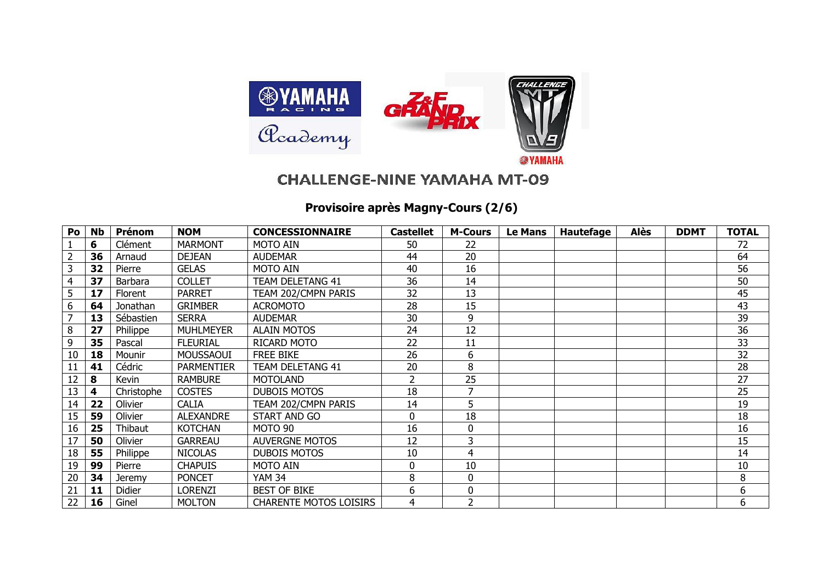

## **CHALLENGE-NINE YAMAHA MT-09**

## **Provisoire après Magny-Cours (2/6)**

| Po             | <b>Nb</b> | <b>Prénom</b>  | <b>NOM</b>        | <b>CONCESSIONNAIRE</b>        | <b>Castellet</b> | <b>M-Cours</b> | <b>Le Mans</b> | <b>Hautefage</b> | <b>Alès</b> | <b>DDMT</b> | <b>TOTAL</b> |
|----------------|-----------|----------------|-------------------|-------------------------------|------------------|----------------|----------------|------------------|-------------|-------------|--------------|
|                | 6         | Clément        | <b>MARMONT</b>    | <b>MOTO AIN</b>               | 50               | 22             |                |                  |             |             | 72           |
| $\overline{2}$ | 36        | Arnaud         | <b>DEJEAN</b>     | <b>AUDEMAR</b>                | 44               | 20             |                |                  |             |             | 64           |
| 3              | 32        | Pierre         | <b>GELAS</b>      | <b>MOTO AIN</b>               | 40               | 16             |                |                  |             |             | 56           |
| 4              | 37        | Barbara        | <b>COLLET</b>     | TEAM DELETANG 41              | 36               | 14             |                |                  |             |             | 50           |
| 5              | 17        | <b>Florent</b> | <b>PARRET</b>     | TEAM 202/CMPN PARIS           | 32               | 13             |                |                  |             |             | 45           |
| 6              | 64        | Jonathan       | <b>GRIMBER</b>    | <b>ACROMOTO</b>               | 28               | 15             |                |                  |             |             | 43           |
| 7              | 13        | Sébastien      | <b>SERRA</b>      | <b>AUDEMAR</b>                | 30               | 9              |                |                  |             |             | 39           |
| 8              | 27        | Philippe       | <b>MUHLMEYER</b>  | <b>ALAIN MOTOS</b>            | 24               | 12             |                |                  |             |             | 36           |
| 9              | 35        | Pascal         | <b>FLEURIAL</b>   | RICARD MOTO                   | 22               | 11             |                |                  |             |             | 33           |
| 10             | 18        | Mounir         | MOUSSAOUI         | <b>FREE BIKE</b>              | 26               | 6              |                |                  |             |             | 32           |
| 11             | 41        | Cédric         | <b>PARMENTIER</b> | TEAM DELETANG 41              | 20               | 8              |                |                  |             |             | 28           |
| 12             | 8         | Kevin          | <b>RAMBURE</b>    | <b>MOTOLAND</b>               | 2                | 25             |                |                  |             |             | 27           |
| 13             | 4         | Christophe     | <b>COSTES</b>     | <b>DUBOIS MOTOS</b>           | 18               | 7              |                |                  |             |             | 25           |
| 14             | 22        | Olivier        | <b>CALIA</b>      | TEAM 202/CMPN PARIS           | 14               | 5              |                |                  |             |             | 19           |
| 15             | 59        | Olivier        | <b>ALEXANDRE</b>  | START AND GO                  | 0                | 18             |                |                  |             |             | 18           |
| 16             | 25        | Thibaut        | <b>KOTCHAN</b>    | <b>MOTO 90</b>                | 16               | 0              |                |                  |             |             | 16           |
| 17             | 50        | Olivier        | <b>GARREAU</b>    | <b>AUVERGNE MOTOS</b>         | 12               | 3              |                |                  |             |             | 15           |
| 18             | 55        | Philippe       | <b>NICOLAS</b>    | <b>DUBOIS MOTOS</b>           | 10               | 4              |                |                  |             |             | 14           |
| 19             | 99        | Pierre         | <b>CHAPUIS</b>    | <b>MOTO AIN</b>               | 0                | 10             |                |                  |             |             | 10           |
| 20             | 34        | <b>Jeremy</b>  | <b>PONCET</b>     | <b>YAM 34</b>                 | 8                | $\mathbf{0}$   |                |                  |             |             | 8            |
| 21             | 11        | <b>Didier</b>  | <b>LORENZI</b>    | <b>BEST OF BIKE</b>           | 6                | $\mathbf 0$    |                |                  |             |             | 6            |
| 22             | 16        | Ginel          | <b>MOLTON</b>     | <b>CHARENTE MOTOS LOISIRS</b> | 4                | 2              |                |                  |             |             | 6            |